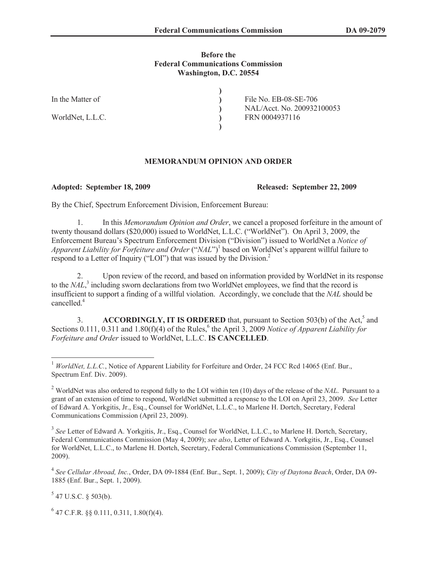## **Before the Federal Communications Commission Washington, D.C. 20554**

**) ) ) ) )**

In the Matter of

WorldNet, L.L.C.

File No. EB-08-SE-706 NAL/Acct. No. 200932100053 FRN 0004937116

## **MEMORANDUM OPINION AND ORDER**

**Adopted: September 18, 2009 Released: September 22, 2009**

By the Chief, Spectrum Enforcement Division, Enforcement Bureau:

1. In this *Memorandum Opinion and Order*, we cancel a proposed forfeiture in the amount of twenty thousand dollars (\$20,000) issued to WorldNet, L.L.C. ("WorldNet"). On April 3, 2009, the Enforcement Bureau's Spectrum Enforcement Division ("Division") issued to WorldNet a *Notice of Apparent Liability for Forfeiture and Order* ("*NAL*")<sup>1</sup> based on WorldNet's apparent willful failure to respond to a Letter of Inquiry ("LOI") that was issued by the Division.<sup>2</sup>

2. Upon review of the record, and based on information provided by WorldNet in its response to the *NAL*, 3 including sworn declarations from two WorldNet employees, we find that the record is insufficient to support a finding of a willful violation. Accordingly, we conclude that the *NAL* should be cancelled.<sup>4</sup>

3. **ACCORDINGLY, IT IS ORDERED** that, pursuant to Section 503(b) of the Act,<sup>5</sup> and Sections 0.111, 0.311 and 1.80(f)(4) of the Rules,  $6$  the April 3, 2009 *Notice of Apparent Liability for Forfeiture and Order* issued to WorldNet, L.L.C. **IS CANCELLED**.

 $5$  47 U.S.C. § 503(b).

 $6$  47 C.F.R. §§ 0.111, 0.311, 1.80(f)(4).

<sup>&</sup>lt;sup>1</sup> *WorldNet, L.L.C.*, Notice of Apparent Liability for Forfeiture and Order, 24 FCC Rcd 14065 (Enf. Bur., Spectrum Enf. Div. 2009).

<sup>2</sup> WorldNet was also ordered to respond fully to the LOI within ten (10) days of the release of the *NAL*. Pursuant to a grant of an extension of time to respond, WorldNet submitted a response to the LOI on April 23, 2009. *See* Letter of Edward A. Yorkgitis, Jr., Esq., Counsel for WorldNet, L.L.C., to Marlene H. Dortch, Secretary, Federal Communications Commission (April 23, 2009).

<sup>&</sup>lt;sup>3</sup> See Letter of Edward A. Yorkgitis, Jr., Esq., Counsel for WorldNet, L.L.C., to Marlene H. Dortch, Secretary, Federal Communications Commission (May 4, 2009); *see also*, Letter of Edward A. Yorkgitis, Jr., Esq., Counsel for WorldNet, L.L.C., to Marlene H. Dortch, Secretary, Federal Communications Commission (September 11, 2009).

<sup>4</sup> *See Cellular Abroad, Inc.*, Order, DA 09-1884 (Enf. Bur., Sept. 1, 2009); *City of Daytona Beach*, Order, DA 09- 1885 (Enf. Bur., Sept. 1, 2009).